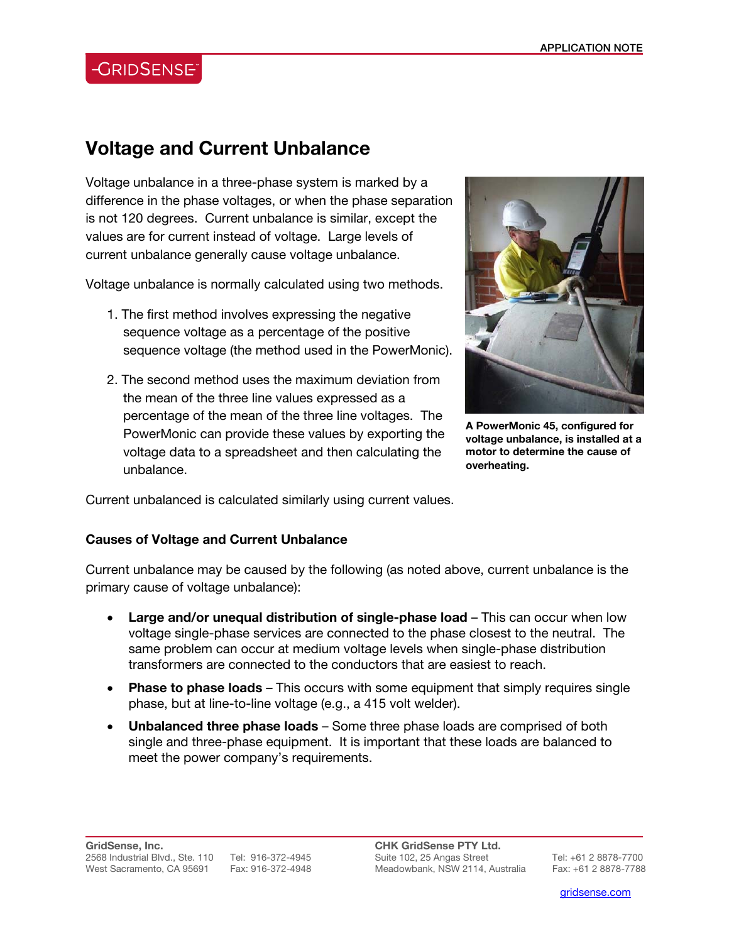## **-GRIDSENSE**

# **Voltage and Current Unbalance**

Voltage unbalance in a three-phase system is marked by a difference in the phase voltages, or when the phase separation is not 120 degrees. Current unbalance is similar, except the values are for current instead of voltage. Large levels of current unbalance generally cause voltage unbalance.

Voltage unbalance is normally calculated using two methods.

- 1. The first method involves expressing the negative sequence voltage as a percentage of the positive sequence voltage (the method used in the PowerMonic).
- 2. The second method uses the maximum deviation from the mean of the three line values expressed as a percentage of the mean of the three line voltages. The PowerMonic can provide these values by exporting the voltage data to a spreadsheet and then calculating the unbalance.



**A PowerMonic 45, configured for voltage unbalance, is installed at a motor to determine the cause of overheating.** 

Current unbalanced is calculated similarly using current values.

#### **Causes of Voltage and Current Unbalance**

Current unbalance may be caused by the following (as noted above, current unbalance is the primary cause of voltage unbalance):

- **Large and/or unequal distribution of single-phase load** This can occur when low voltage single-phase services are connected to the phase closest to the neutral. The same problem can occur at medium voltage levels when single-phase distribution transformers are connected to the conductors that are easiest to reach.
- **Phase to phase loads** This occurs with some equipment that simply requires single phase, but at line-to-line voltage (e.g., a 415 volt welder).
- **Unbalanced three phase loads** Some three phase loads are comprised of both single and three-phase equipment. It is important that these loads are balanced to meet the power company's requirements.

**CHK GridSense PTY Ltd.**  Suite 102, 25 Angas Street Tel: +61 2 8878-7700 Meadowbank, NSW 2114, Australia Fax: +61 2 8878-7788

l

gridsense.com i de la companya de la companya de la companya de la companya de la companya de la companya de l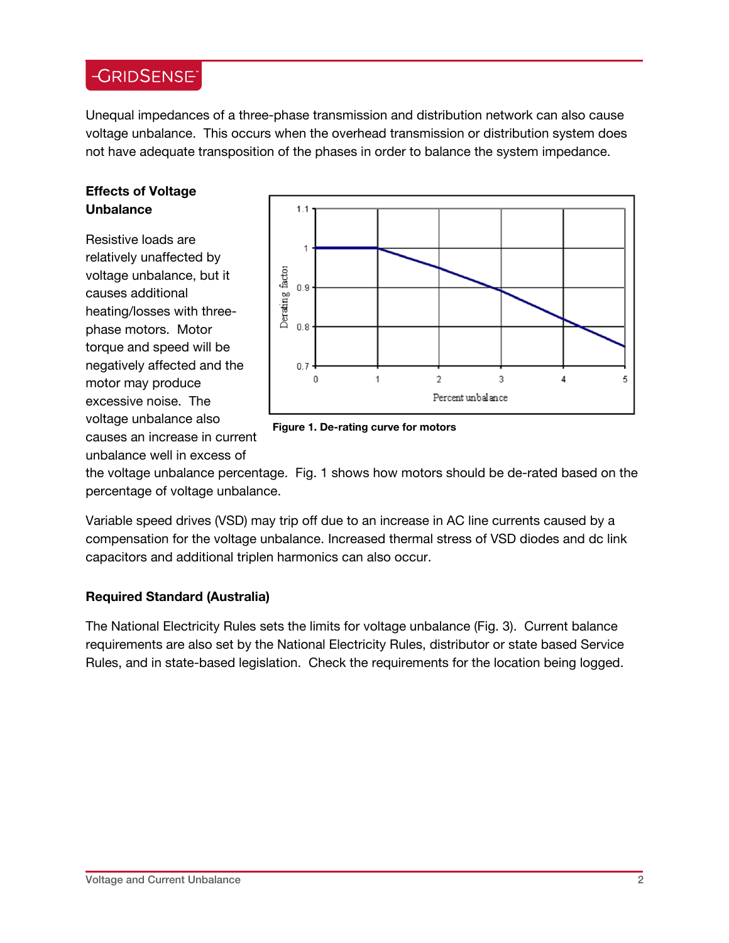### -GRIDSENSE<sup>®</sup>

Unequal impedances of a three-phase transmission and distribution network can also cause voltage unbalance. This occurs when the overhead transmission or distribution system does not have adequate transposition of the phases in order to balance the system impedance.

#### **Effects of Voltage Unbalance**

Resistive loads are relatively unaffected by voltage unbalance, but it causes additional heating/losses with threephase motors. Motor torque and speed will be negatively affected and the motor may produce excessive noise. The voltage unbalance also causes an increase in current unbalance well in excess of



**Figure 1. De-rating curve for motors** 

the voltage unbalance percentage. Fig. 1 shows how motors should be de-rated based on the percentage of voltage unbalance.

Variable speed drives (VSD) may trip off due to an increase in AC line currents caused by a compensation for the voltage unbalance. Increased thermal stress of VSD diodes and dc link capacitors and additional triplen harmonics can also occur.

### **Required Standard (Australia)**

The National Electricity Rules sets the limits for voltage unbalance (Fig. 3). Current balance requirements are also set by the National Electricity Rules, distributor or state based Service Rules, and in state-based legislation. Check the requirements for the location being logged.

 $\overline{a}$